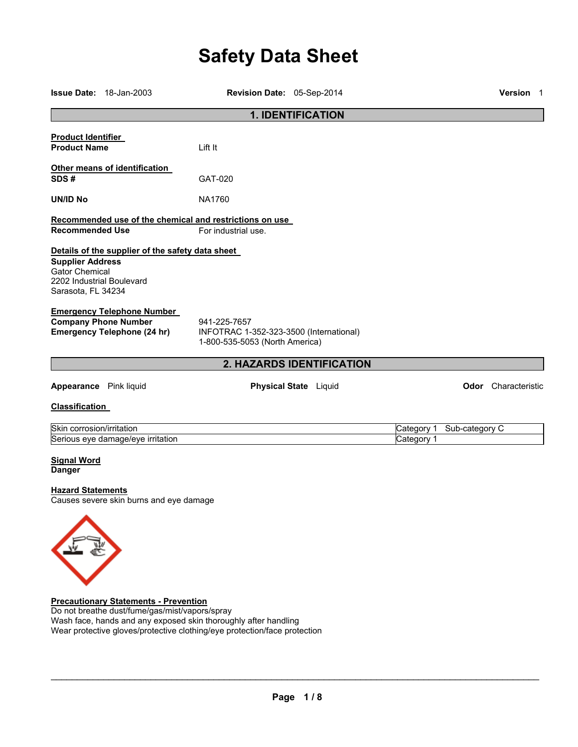# **Safety Data Sheet**

|                                                                                                     | <b>Issue Date: 18-Jan-2003</b>                                                                         | Revision Date: 05-Sep-2014                                                                |                              |                          |                | Version 1                  |
|-----------------------------------------------------------------------------------------------------|--------------------------------------------------------------------------------------------------------|-------------------------------------------------------------------------------------------|------------------------------|--------------------------|----------------|----------------------------|
|                                                                                                     |                                                                                                        |                                                                                           | 1. IDENTIFICATION            |                          |                |                            |
| <b>Product Identifier</b><br><b>Product Name</b>                                                    |                                                                                                        | Lift It                                                                                   |                              |                          |                |                            |
| SDS#                                                                                                | Other means of identification                                                                          | GAT-020                                                                                   |                              |                          |                |                            |
| <b>UN/ID No</b>                                                                                     |                                                                                                        | <b>NA1760</b>                                                                             |                              |                          |                |                            |
| <b>Recommended Use</b>                                                                              |                                                                                                        | Recommended use of the chemical and restrictions on use<br>For industrial use.            |                              |                          |                |                            |
| <b>Supplier Address</b><br><b>Gator Chemical</b><br>2202 Industrial Boulevard<br>Sarasota, FL 34234 | Details of the supplier of the safety data sheet                                                       |                                                                                           |                              |                          |                |                            |
|                                                                                                     | <b>Emergency Telephone Number</b><br><b>Company Phone Number</b><br><b>Emergency Telephone (24 hr)</b> | 941-225-7657<br>INFOTRAC 1-352-323-3500 (International)<br>1-800-535-5053 (North America) |                              |                          |                |                            |
|                                                                                                     |                                                                                                        |                                                                                           | 2. HAZARDS IDENTIFICATION    |                          |                |                            |
| Appearance Pink liquid                                                                              |                                                                                                        |                                                                                           | <b>Physical State</b> Liquid |                          |                | <b>Odor</b> Characteristic |
| <b>Classification</b>                                                                               |                                                                                                        |                                                                                           |                              |                          |                |                            |
| Skin corrosion/irritation                                                                           | Serious eye damage/eye irritation                                                                      |                                                                                           |                              | Category 1<br>Category 1 | Sub-category C |                            |
| <b>Signal Word</b><br><b>Danger</b>                                                                 |                                                                                                        |                                                                                           |                              |                          |                |                            |
| <b>Hazard Statements</b>                                                                            | Causes severe skin burns and eye damage                                                                |                                                                                           |                              |                          |                |                            |
|                                                                                                     | <b>Precautionary Statements - Prevention</b>                                                           |                                                                                           |                              |                          |                |                            |

Do not breathe dust/fume/gas/mist/vapors/spray Wash face, hands and any exposed skin thoroughly after handling Wear protective gloves/protective clothing/eye protection/face protection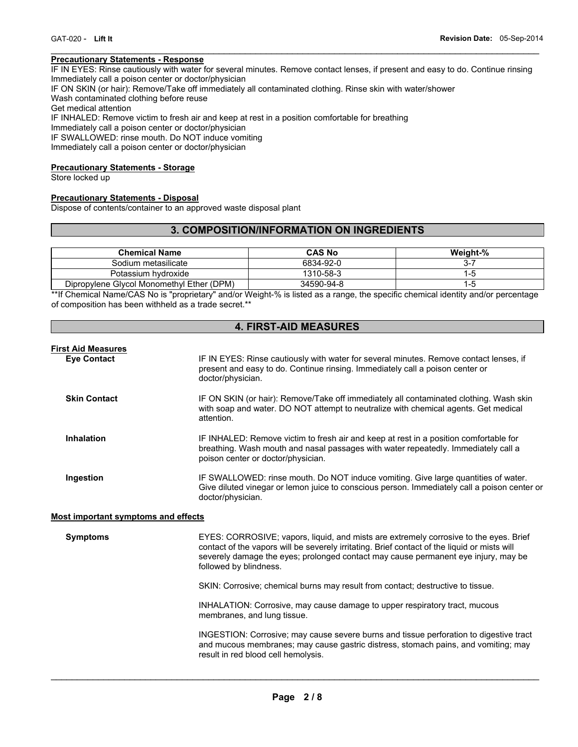#### **Precautionary Statements - Response**

IF IN EYES: Rinse cautiously with water for several minutes. Remove contact lenses, if present and easy to do. Continue rinsing Immediately call a poison center or doctor/physician

 $\mathcal{L}_\mathcal{L} = \{ \mathcal{L}_\mathcal{L} = \{ \mathcal{L}_\mathcal{L} = \{ \mathcal{L}_\mathcal{L} = \{ \mathcal{L}_\mathcal{L} = \{ \mathcal{L}_\mathcal{L} = \{ \mathcal{L}_\mathcal{L} = \{ \mathcal{L}_\mathcal{L} = \{ \mathcal{L}_\mathcal{L} = \{ \mathcal{L}_\mathcal{L} = \{ \mathcal{L}_\mathcal{L} = \{ \mathcal{L}_\mathcal{L} = \{ \mathcal{L}_\mathcal{L} = \{ \mathcal{L}_\mathcal{L} = \{ \mathcal{L}_\mathcal{$ 

IF ON SKIN (or hair): Remove/Take off immediately all contaminated clothing. Rinse skin with water/shower

Wash contaminated clothing before reuse

Get medical attention

IF INHALED: Remove victim to fresh air and keep at rest in a position comfortable for breathing

Immediately call a poison center or doctor/physician

IF SWALLOWED: rinse mouth. Do NOT induce vomiting

Immediately call a poison center or doctor/physician

#### **Precautionary Statements - Storage**

Store locked up

#### **Precautionary Statements - Disposal**

Dispose of contents/container to an approved waste disposal plant

# **3. COMPOSITION/INFORMATION ON INGREDIENTS**

| <b>Chemical Name</b>                      | <b>CAS No</b> | Weight-% |
|-------------------------------------------|---------------|----------|
| Sodium metasilicate                       | 6834-92-0     | 3-.      |
| Potassium hydroxide                       | 1310-58-3     | I-5      |
| Dipropylene Glycol Monomethyl Ether (DPM) | 34590-94-8    | -ე       |

\*\*If Chemical Name/CAS No is "proprietary" and/or Weight-% is listed as a range, the specific chemical identity and/or percentage of composition has been withheld as a trade secret.\*\*

# **4. FIRST-AID MEASURES**

| <b>First Aid Measures</b> |                                                                                                                                                                                                                   |
|---------------------------|-------------------------------------------------------------------------------------------------------------------------------------------------------------------------------------------------------------------|
| <b>Eve Contact</b>        | IF IN EYES: Rinse cautiously with water for several minutes. Remove contact lenses, if<br>present and easy to do. Continue rinsing. Immediately call a poison center or<br>doctor/physician.                      |
| <b>Skin Contact</b>       | IF ON SKIN (or hair): Remove/Take off immediately all contaminated clothing. Wash skin<br>with soap and water. DO NOT attempt to neutralize with chemical agents. Get medical<br>attention.                       |
| Inhalation                | IF INHALED: Remove victim to fresh air and keep at rest in a position comfortable for<br>breathing. Wash mouth and nasal passages with water repeatedly. Immediately call a<br>poison center or doctor/physician. |
| Ingestion                 | IF SWALLOWED: rinse mouth. Do NOT induce vomiting. Give large quantities of water.<br>Give diluted vinegar or lemon juice to conscious person. Immediately call a poison center or<br>doctor/physician.           |

#### **Most important symptoms and effects**

| <b>Symptoms</b> | EYES: CORROSIVE; vapors, liquid, and mists are extremely corrosive to the eyes. Brief        |
|-----------------|----------------------------------------------------------------------------------------------|
|                 | contact of the vapors will be severely irritating. Brief contact of the liquid or mists will |
|                 | severely damage the eyes; prolonged contact may cause permanent eye injury, may be           |
|                 | followed by blindness.                                                                       |

SKIN: Corrosive; chemical burns may result from contact; destructive to tissue.

INHALATION: Corrosive, may cause damage to upper respiratory tract, mucous membranes, and lung tissue.

INGESTION: Corrosive; may cause severe burns and tissue perforation to digestive tract and mucous membranes; may cause gastric distress, stomach pains, and vomiting; may result in red blood cell hemolysis.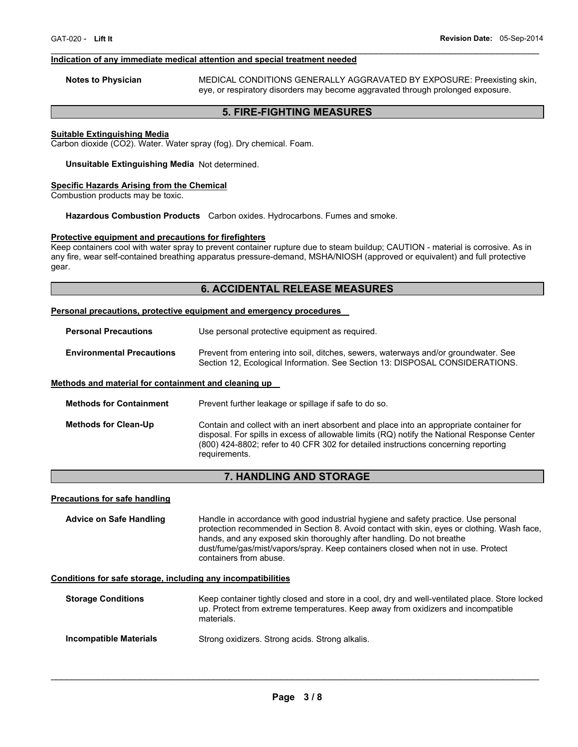#### **Indication of any immediate medical attention and special treatment needed**

**Notes to Physician** MEDICAL CONDITIONS GENERALLY AGGRAVATED BY EXPOSURE: Preexisting skin, eye, or respiratory disorders may become aggravated through prolonged exposure.

# **5. FIRE-FIGHTING MEASURES**

 $\mathcal{L}_\mathcal{L} = \{ \mathcal{L}_\mathcal{L} = \{ \mathcal{L}_\mathcal{L} = \{ \mathcal{L}_\mathcal{L} = \{ \mathcal{L}_\mathcal{L} = \{ \mathcal{L}_\mathcal{L} = \{ \mathcal{L}_\mathcal{L} = \{ \mathcal{L}_\mathcal{L} = \{ \mathcal{L}_\mathcal{L} = \{ \mathcal{L}_\mathcal{L} = \{ \mathcal{L}_\mathcal{L} = \{ \mathcal{L}_\mathcal{L} = \{ \mathcal{L}_\mathcal{L} = \{ \mathcal{L}_\mathcal{L} = \{ \mathcal{L}_\mathcal{$ 

#### **Suitable Extinguishing Media**

Carbon dioxide (CO2). Water. Water spray (fog). Dry chemical. Foam.

#### **Unsuitable Extinguishing Media** Not determined.

#### **Specific Hazards Arising from the Chemical**

Combustion products may be toxic.

#### **Hazardous Combustion Products** Carbon oxides. Hydrocarbons. Fumes and smoke.

#### **Protective equipment and precautions for firefighters**

Keep containers cool with water spray to prevent container rupture due to steam buildup; CAUTION - material is corrosive. As in any fire, wear self-contained breathing apparatus pressure-demand, MSHA/NIOSH (approved or equivalent) and full protective gear.

#### **6. ACCIDENTAL RELEASE MEASURES**

#### **Personal precautions, protective equipment and emergency procedures**

| <b>Personal Precautions</b>      | Use personal protective equipment as required.                                                                                                                      |  |  |
|----------------------------------|---------------------------------------------------------------------------------------------------------------------------------------------------------------------|--|--|
| <b>Environmental Precautions</b> | Prevent from entering into soil, ditches, sewers, waterways and/or groundwater. See<br>Section 12, Ecological Information. See Section 13: DISPOSAL CONSIDERATIONS. |  |  |

#### **Methods and material for containment and cleaning up**

| <b>Methods for Containment</b> | Prevent further leakage or spillage if safe to do so.                                                                                                                                                                                                                                         |
|--------------------------------|-----------------------------------------------------------------------------------------------------------------------------------------------------------------------------------------------------------------------------------------------------------------------------------------------|
| <b>Methods for Clean-Up</b>    | Contain and collect with an inert absorbent and place into an appropriate container for<br>disposal. For spills in excess of allowable limits (RQ) notify the National Response Center<br>(800) 424-8802; refer to 40 CFR 302 for detailed instructions concerning reporting<br>requirements. |

# **7. HANDLING AND STORAGE**

#### **Precautions for safe handling**

**Advice on Safe Handling** Handle in accordance with good industrial hygiene and safety practice. Use personal protection recommended in Section 8. Avoid contact with skin, eyes or clothing. Wash face, hands, and any exposed skin thoroughly after handling. Do not breathe dust/fume/gas/mist/vapors/spray. Keep containers closed when not in use. Protect containers from abuse.

#### **Conditions for safe storage, including any incompatibilities**

| <b>Storage Conditions</b> | Keep container tightly closed and store in a cool, dry and well-ventilated place. Store locked<br>up. Protect from extreme temperatures. Keep away from oxidizers and incompatible<br>materials. |
|---------------------------|--------------------------------------------------------------------------------------------------------------------------------------------------------------------------------------------------|
| Incompatible Materials    | Strong oxidizers. Strong acids. Strong alkalis.                                                                                                                                                  |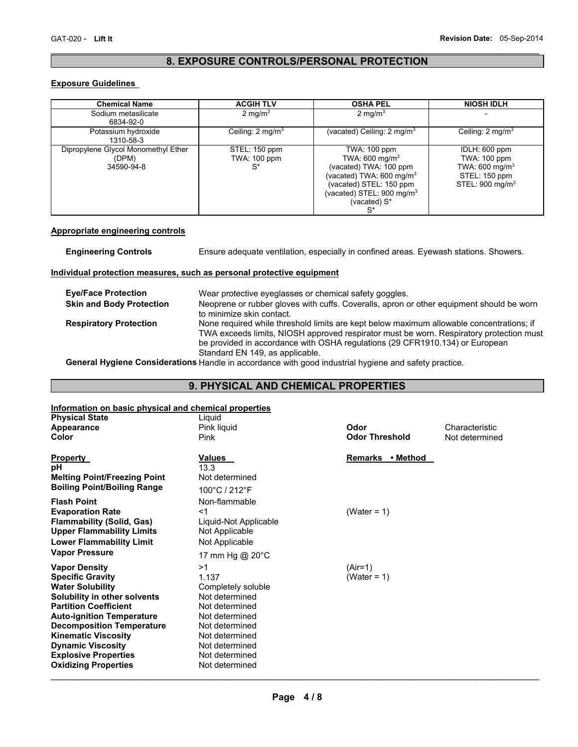### $\mathcal{L}_\mathcal{L} = \{ \mathcal{L}_\mathcal{L} = \{ \mathcal{L}_\mathcal{L} = \{ \mathcal{L}_\mathcal{L} = \{ \mathcal{L}_\mathcal{L} = \{ \mathcal{L}_\mathcal{L} = \{ \mathcal{L}_\mathcal{L} = \{ \mathcal{L}_\mathcal{L} = \{ \mathcal{L}_\mathcal{L} = \{ \mathcal{L}_\mathcal{L} = \{ \mathcal{L}_\mathcal{L} = \{ \mathcal{L}_\mathcal{L} = \{ \mathcal{L}_\mathcal{L} = \{ \mathcal{L}_\mathcal{L} = \{ \mathcal{L}_\mathcal{$ **8. EXPOSURE CONTROLS/PERSONAL PROTECTION**

#### **Exposure Guidelines**

| <b>Chemical Name</b>                                       | <b>ACGIH TLV</b>                       | <b>OSHA PEL</b>                                                                                                                                                                                 | <b>NIOSH IDLH</b>                                                                                          |
|------------------------------------------------------------|----------------------------------------|-------------------------------------------------------------------------------------------------------------------------------------------------------------------------------------------------|------------------------------------------------------------------------------------------------------------|
| Sodium metasilicate<br>6834-92-0                           | 2 mg/ $m3$                             | 2 mg/m $3$                                                                                                                                                                                      |                                                                                                            |
| Potassium hydroxide<br>1310-58-3                           | Ceiling: $2 \text{ mg/m}^3$            | (vacated) Ceiling: $2 \text{ mg/m}^3$                                                                                                                                                           | Ceiling: $2 \text{ mg/m}^3$                                                                                |
| Dipropylene Glycol Monomethyl Ether<br>(DPM)<br>34590-94-8 | STEL: 150 ppm<br>TWA: 100 ppm<br>$S^*$ | TWA: 100 ppm<br>TWA: $600 \text{ mg/m}^3$<br>(vacated) TWA: 100 ppm<br>(vacated) TWA: 600 mg/m $3$<br>(vacated) STEL: 150 ppm<br>(vacated) STEL: 900 mg/m <sup>3</sup><br>(vacated) S*<br>$S^*$ | IDLH: 600 ppm<br>TWA: 100 ppm<br>TWA: 600 mg/m <sup>3</sup><br>STEL: 150 ppm<br>STEL: $900 \text{ mg/m}^3$ |

#### **Appropriate engineering controls**

**Engineering Controls** Ensure adequate ventilation, especially in confined areas. Eyewash stations. Showers.

#### **Individual protection measures, such as personal protective equipment**

| <b>Eve/Face Protection</b>      | Wear protective eyeglasses or chemical safety goggles.                                                                                                                                                                                                                                                 |
|---------------------------------|--------------------------------------------------------------------------------------------------------------------------------------------------------------------------------------------------------------------------------------------------------------------------------------------------------|
| <b>Skin and Body Protection</b> | Neoprene or rubber gloves with cuffs. Coveralls, apron or other equipment should be worn<br>to minimize skin contact.                                                                                                                                                                                  |
| <b>Respiratory Protection</b>   | None required while threshold limits are kept below maximum allowable concentrations; if<br>TWA exceeds limits, NIOSH approved respirator must be worn. Respiratory protection must<br>be provided in accordance with OSHA regulations (29 CFR1910.134) or European<br>Standard EN 149, as applicable. |

**General Hygiene Considerations** Handle in accordance with good industrial hygiene and safety practice.

# **9. PHYSICAL AND CHEMICAL PROPERTIES**

# **Information on basic physical and chemical properties**

| $\mathbf u$ . The property is a set of $\mathbf v$ and $\mathbf v$ and $\mathbf v$ and $\mathbf v$ and $\mathbf v$ are $\mathbf v$<br><b>Physical State</b>                                                                                                                                                                                                         | Liquid                                                                                                                                                                                               |                             |                |
|---------------------------------------------------------------------------------------------------------------------------------------------------------------------------------------------------------------------------------------------------------------------------------------------------------------------------------------------------------------------|------------------------------------------------------------------------------------------------------------------------------------------------------------------------------------------------------|-----------------------------|----------------|
| Appearance                                                                                                                                                                                                                                                                                                                                                          | Pink liquid                                                                                                                                                                                          | Odor                        | Characteristic |
| Color                                                                                                                                                                                                                                                                                                                                                               | Pink                                                                                                                                                                                                 | <b>Odor Threshold</b>       | Not determined |
| <b>Property</b><br>рH<br><b>Melting Point/Freezing Point</b><br><b>Boiling Point/Boiling Range</b>                                                                                                                                                                                                                                                                  | Values<br>13.3<br>Not determined<br>100°C / 212°F                                                                                                                                                    | Remarks • Method            |                |
| <b>Flash Point</b><br><b>Evaporation Rate</b><br><b>Flammability (Solid, Gas)</b><br><b>Upper Flammability Limits</b><br><b>Lower Flammability Limit</b>                                                                                                                                                                                                            | Non-flammable<br><1<br>Liquid-Not Applicable<br>Not Applicable<br>Not Applicable                                                                                                                     | (Water = $1$ )              |                |
| <b>Vapor Pressure</b><br><b>Vapor Density</b><br><b>Specific Gravity</b><br><b>Water Solubility</b><br>Solubility in other solvents<br><b>Partition Coefficient</b><br><b>Auto-ignition Temperature</b><br><b>Decomposition Temperature</b><br><b>Kinematic Viscosity</b><br><b>Dynamic Viscosity</b><br><b>Explosive Properties</b><br><b>Oxidizing Properties</b> | 17 mm Hg @ 20°C<br>>1<br>1.137<br>Completely soluble<br>Not determined<br>Not determined<br>Not determined<br>Not determined<br>Not determined<br>Not determined<br>Not determined<br>Not determined | $(Air=1)$<br>(Water = $1$ ) |                |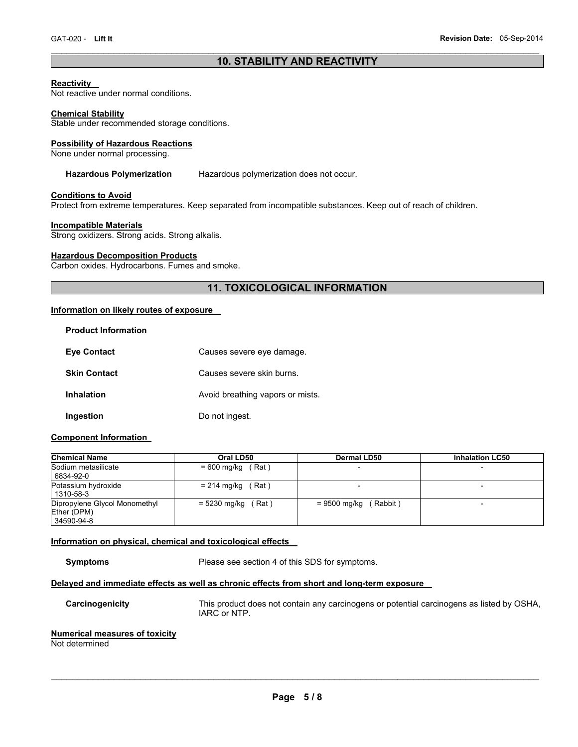### $\mathcal{L}_\mathcal{L} = \{ \mathcal{L}_\mathcal{L} = \{ \mathcal{L}_\mathcal{L} = \{ \mathcal{L}_\mathcal{L} = \{ \mathcal{L}_\mathcal{L} = \{ \mathcal{L}_\mathcal{L} = \{ \mathcal{L}_\mathcal{L} = \{ \mathcal{L}_\mathcal{L} = \{ \mathcal{L}_\mathcal{L} = \{ \mathcal{L}_\mathcal{L} = \{ \mathcal{L}_\mathcal{L} = \{ \mathcal{L}_\mathcal{L} = \{ \mathcal{L}_\mathcal{L} = \{ \mathcal{L}_\mathcal{L} = \{ \mathcal{L}_\mathcal{$ **10. STABILITY AND REACTIVITY**

#### **Reactivity**

Not reactive under normal conditions.

#### **Chemical Stability**

Stable under recommended storage conditions.

#### **Possibility of Hazardous Reactions**

None under normal processing.

#### **Hazardous Polymerization** Hazardous polymerization does not occur.

#### **Conditions to Avoid**

Protect from extreme temperatures. Keep separated from incompatible substances. Keep out of reach of children.

#### **Incompatible Materials**

Strong oxidizers. Strong acids. Strong alkalis.

#### **Hazardous Decomposition Products**

Carbon oxides. Hydrocarbons. Fumes and smoke.

# **11. TOXICOLOGICAL INFORMATION**

## **Information on likely routes of exposure**

| <b>Product Information</b> |                                  |
|----------------------------|----------------------------------|
| <b>Eve Contact</b>         | Causes severe eye damage.        |
| <b>Skin Contact</b>        | Causes severe skin burns.        |
| Inhalation                 | Avoid breathing vapors or mists. |
| Ingestion                  | Do not ingest.                   |

#### **Component Information**

| <b>Chemical Name</b>                                       | Oral LD50             | Dermal LD50             | <b>Inhalation LC50</b>   |
|------------------------------------------------------------|-----------------------|-------------------------|--------------------------|
| Sodium metasilicate<br>6834-92-0                           | $= 600$ mg/kg (Rat)   |                         |                          |
| Potassium hydroxide<br>1310-58-3                           | $= 214$ mg/kg (Rat)   |                         |                          |
| Dipropylene Glycol Monomethyl<br>Ether (DPM)<br>34590-94-8 | = 5230 mg/kg<br>(Rat) | $= 9500$ mg/kg (Rabbit) | $\overline{\phantom{0}}$ |

#### **Information on physical, chemical and toxicological effects**

**Symptoms** Please see section 4 of this SDS for symptoms.

# **Delayed and immediate effects as well as chronic effects from short and long-term exposure**

**Carcinogenicity** This product does not contain any carcinogens or potential carcinogens as listed by OSHA, IARC or NTP.

# **Numerical measures of toxicity**

Not determined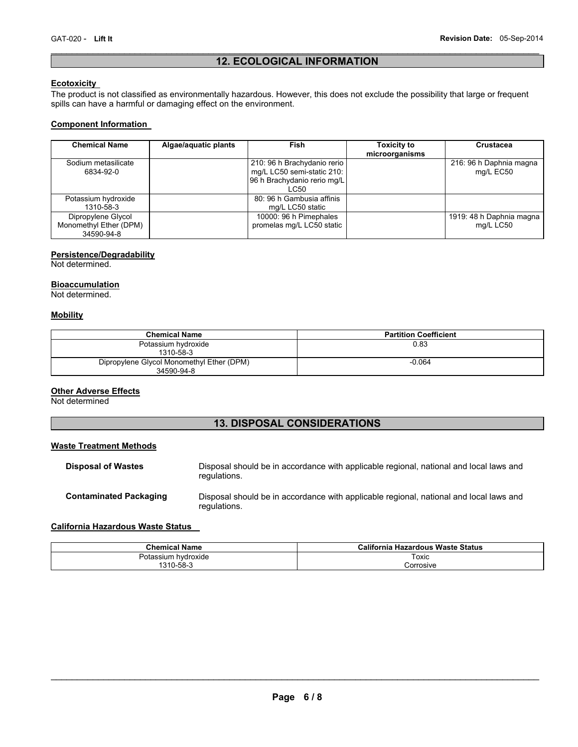# $\mathcal{L}_\mathcal{L} = \{ \mathcal{L}_\mathcal{L} = \{ \mathcal{L}_\mathcal{L} = \{ \mathcal{L}_\mathcal{L} = \{ \mathcal{L}_\mathcal{L} = \{ \mathcal{L}_\mathcal{L} = \{ \mathcal{L}_\mathcal{L} = \{ \mathcal{L}_\mathcal{L} = \{ \mathcal{L}_\mathcal{L} = \{ \mathcal{L}_\mathcal{L} = \{ \mathcal{L}_\mathcal{L} = \{ \mathcal{L}_\mathcal{L} = \{ \mathcal{L}_\mathcal{L} = \{ \mathcal{L}_\mathcal{L} = \{ \mathcal{L}_\mathcal{$ **12. ECOLOGICAL INFORMATION**

# **Ecotoxicity**

The product is not classified as environmentally hazardous. However, this does not exclude the possibility that large or frequent spills can have a harmful or damaging effect on the environment.

#### **Component Information**

| <b>Chemical Name</b>                                       | Algae/aquatic plants | Fish                                                                                             | <b>Toxicity to</b><br>microorganisms | Crustacea                             |
|------------------------------------------------------------|----------------------|--------------------------------------------------------------------------------------------------|--------------------------------------|---------------------------------------|
| Sodium metasilicate<br>6834-92-0                           |                      | 210: 96 h Brachydanio rerio<br>mg/L LC50 semi-static 210:<br>96 h Brachydanio rerio mg/L<br>LC50 |                                      | 216: 96 h Daphnia magna<br>mg/L EC50  |
| Potassium hydroxide<br>1310-58-3                           |                      | 80: 96 h Gambusia affinis<br>mg/L LC50 static                                                    |                                      |                                       |
| Dipropylene Glycol<br>Monomethyl Ether (DPM)<br>34590-94-8 |                      | 10000: 96 h Pimephales<br>promelas mg/L LC50 static                                              |                                      | 1919: 48 h Daphnia magna<br>mg/L LC50 |

### **Persistence/Degradability**

Not determined.

#### **Bioaccumulation**

Not determined.

#### **Mobility**

| <b>Chemical Name</b>                                    | <b>Partition Coefficient</b> |
|---------------------------------------------------------|------------------------------|
| Potassium hydroxide<br>1310-58-3                        | 0.83                         |
| Dipropylene Glycol Monomethyl Ether (DPM)<br>34590-94-8 | $-0.064$                     |

#### **Other Adverse Effects**

Not determined

# **13. DISPOSAL CONSIDERATIONS**

#### **Waste Treatment Methods**

| <b>Disposal of Wastes</b>     | Disposal should be in accordance with applicable regional, national and local laws and<br>regulations. |
|-------------------------------|--------------------------------------------------------------------------------------------------------|
| <b>Contaminated Packaging</b> | Disposal should be in accordance with applicable regional, national and local laws and<br>regulations. |

# **California Hazardous Waste Status**

| <b>Chemical Name</b>     | California Hazardous Waste Status |
|--------------------------|-----------------------------------|
| hvdroxide<br>Potassium i | Гохіс                             |
| 1310-58-3                | Corrosive                         |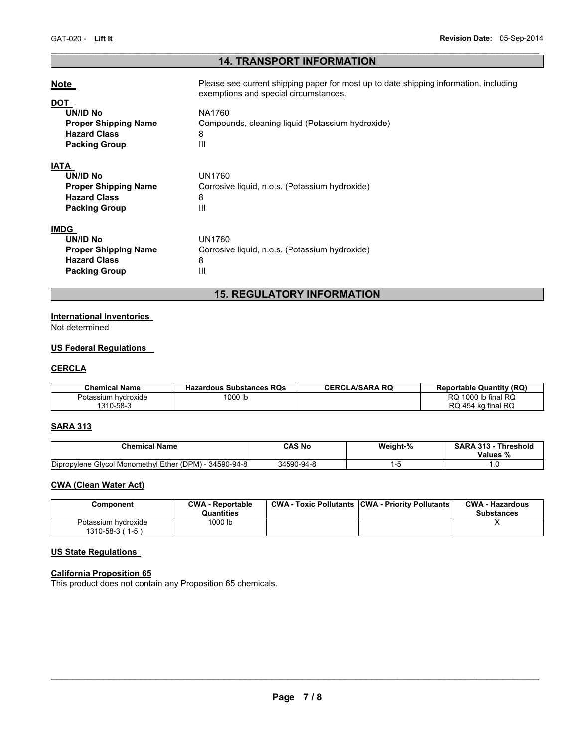# $\mathcal{L}_\mathcal{L} = \{ \mathcal{L}_\mathcal{L} = \{ \mathcal{L}_\mathcal{L} = \{ \mathcal{L}_\mathcal{L} = \{ \mathcal{L}_\mathcal{L} = \{ \mathcal{L}_\mathcal{L} = \{ \mathcal{L}_\mathcal{L} = \{ \mathcal{L}_\mathcal{L} = \{ \mathcal{L}_\mathcal{L} = \{ \mathcal{L}_\mathcal{L} = \{ \mathcal{L}_\mathcal{L} = \{ \mathcal{L}_\mathcal{L} = \{ \mathcal{L}_\mathcal{L} = \{ \mathcal{L}_\mathcal{L} = \{ \mathcal{L}_\mathcal{$ **14. TRANSPORT INFORMATION**

| <b>Note</b>                 | Please see current shipping paper for most up to date shipping information, including<br>exemptions and special circumstances. |
|-----------------------------|--------------------------------------------------------------------------------------------------------------------------------|
| DOT<br><b>UN/ID No</b>      | NA1760                                                                                                                         |
| <b>Proper Shipping Name</b> | Compounds, cleaning liquid (Potassium hydroxide)                                                                               |
| <b>Hazard Class</b>         | 8                                                                                                                              |
| <b>Packing Group</b>        | Ш                                                                                                                              |
| <b>IATA</b>                 |                                                                                                                                |
| UN/ID No                    | <b>UN1760</b>                                                                                                                  |
| <b>Proper Shipping Name</b> | Corrosive liquid, n.o.s. (Potassium hydroxide)                                                                                 |
| <b>Hazard Class</b>         | 8                                                                                                                              |
| <b>Packing Group</b>        | Ш                                                                                                                              |
| <b>IMDG</b>                 |                                                                                                                                |
| UN/ID No                    | <b>UN1760</b>                                                                                                                  |
| <b>Proper Shipping Name</b> | Corrosive liquid, n.o.s. (Potassium hydroxide)                                                                                 |
| <b>Hazard Class</b>         | 8                                                                                                                              |
| <b>Packing Group</b>        | Ш                                                                                                                              |

# **15. REGULATORY INFORMATION**

# **International Inventories**

Not determined

# **US Federal Regulations**

## **CERCLA**

| <b>Chemical Name</b> | <b>Hazardous Substances RQs</b> | <b>CERCLA/SARA RQ</b> | <b>Reportable Quantity (RQ)</b> |
|----------------------|---------------------------------|-----------------------|---------------------------------|
| Potassium hydroxide  | 1000 lb                         |                       | 1000 lb final RQ<br>RQ          |
| 1310-58-3            |                                 |                       | RQ 454 kg final RQ              |

## **SARA 313**

| <b>Chemical Name</b>                                       | CAS Nc     | Weight-% | 242<br>Threshola<br>SARA<br>-313<br>Values<br>% |
|------------------------------------------------------------|------------|----------|-------------------------------------------------|
| Dipropylene<br>34590-94-8<br>Givcol Monomethyl Ether (DPM) | 34590-94-8 |          | .                                               |

## **CWA (Clean Water Act)**

| Component                                      | <b>CWA - Reportable</b><br>Quantities | <b>CWA - Toxic Pollutants CWA - Priority Pollutants</b> | <b>CWA - Hazardous</b><br><b>Substances</b> |
|------------------------------------------------|---------------------------------------|---------------------------------------------------------|---------------------------------------------|
| Potassium hydroxide<br>$1310 - 58 - 3 (1 - 5)$ | 1000 lb                               |                                                         |                                             |

# **US State Regulations**

#### **California Proposition 65**

This product does not contain any Proposition 65 chemicals.